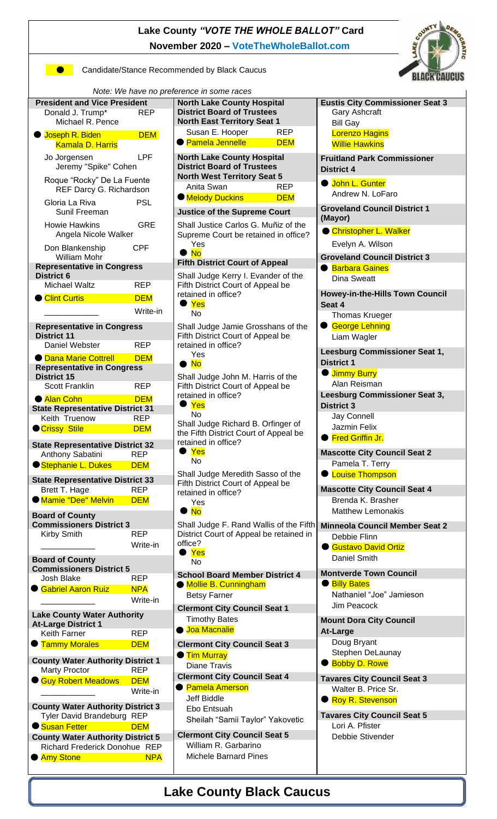**Lake County** *"VOTE THE WHOLE BALLOT"* **Card November 2020 – [VoteTheWholeBallot.com](http://www.votethewholeballot.com/)**



**Candidate/Stance Recommended by Black Caucus** 



| Note: We have no preference in some races                                 |                          |                                                                                    |  |                                                          |  |
|---------------------------------------------------------------------------|--------------------------|------------------------------------------------------------------------------------|--|----------------------------------------------------------|--|
| <b>President and Vice President</b>                                       |                          | <b>North Lake County Hospital</b>                                                  |  | <b>Eustis City Commissioner Seat 3</b>                   |  |
| <b>REP</b><br>Donald J. Trump*                                            |                          | <b>District Board of Trustees</b>                                                  |  | Gary Ashcraft                                            |  |
| Michael R. Pence                                                          |                          | <b>North East Territory Seat 1</b>                                                 |  | <b>Bill Gay</b>                                          |  |
| Joseph R. Biden                                                           | <b>DEM</b>               | Susan E. Hooper<br><b>REP</b>                                                      |  | <b>Lorenzo Hagins</b>                                    |  |
| <b>Kamala D. Harris</b>                                                   |                          | ● Pamela Jennelle<br><b>DEM</b>                                                    |  | <b>Willie Hawkins</b>                                    |  |
| <b>LPF</b><br>Jo Jorgensen                                                |                          | <b>North Lake County Hospital</b>                                                  |  | <b>Fruitland Park Commissioner</b>                       |  |
| Jeremy "Spike" Cohen                                                      |                          | <b>District Board of Trustees</b><br><b>North West Territory Seat 5</b>            |  | <b>District 4</b>                                        |  |
| Roque "Rocky" De La Fuente                                                |                          | Anita Swan<br><b>REP</b>                                                           |  | <b>John L. Gunter</b>                                    |  |
| REF Darcy G. Richardson                                                   |                          | <b>Melody Duckins</b><br><b>DEM</b>                                                |  | Andrew N. LoFaro                                         |  |
| Gloria La Riva                                                            | <b>PSL</b>               |                                                                                    |  | <b>Groveland Council District 1</b>                      |  |
| Sunil Freeman                                                             |                          | <b>Justice of the Supreme Court</b>                                                |  | (Mayor)                                                  |  |
| <b>Howie Hawkins</b><br><b>GRE</b>                                        |                          | Shall Justice Carlos G. Muñiz of the                                               |  | Christopher L. Walker                                    |  |
| Angela Nicole Walker                                                      |                          | Supreme Court be retained in office?<br>Yes                                        |  | Evelyn A. Wilson                                         |  |
| Don Blankenship<br><b>CPF</b>                                             |                          | $\bullet$ No                                                                       |  | <b>Groveland Council District 3</b>                      |  |
| <b>William Mohr</b><br><b>Representative in Congress</b>                  |                          | <b>Fifth District Court of Appeal</b>                                              |  | <b>Barbara Gaines</b><br>$\bullet$                       |  |
| <b>District 6</b>                                                         |                          | Shall Judge Kerry I. Evander of the                                                |  | Dina Sweatt                                              |  |
| <b>Michael Waltz</b>                                                      | <b>REP</b>               | Fifth District Court of Appeal be                                                  |  |                                                          |  |
| Clint Curtis                                                              | <b>DEM</b>               | retained in office?                                                                |  | <b>Howey-in-the-Hills Town Council</b>                   |  |
|                                                                           | Write-in                 | $\bullet$ Yes                                                                      |  | Seat 4                                                   |  |
|                                                                           |                          | No                                                                                 |  | <b>Thomas Krueger</b>                                    |  |
| <b>Representative in Congress</b>                                         |                          | Shall Judge Jamie Grosshans of the                                                 |  | <b>George Lehning</b><br>$\bullet$                       |  |
| <b>District 11</b><br>Daniel Webster                                      | <b>REP</b>               | Fifth District Court of Appeal be                                                  |  | Liam Wagler                                              |  |
|                                                                           |                          | retained in office?<br>Yes                                                         |  | Leesburg Commissioner Seat 1,                            |  |
| <b>O</b> Dana Marie Cottrell<br><b>DEM</b>                                |                          | $\bullet$ No                                                                       |  | <b>District 1</b>                                        |  |
| <b>Representative in Congress</b><br><b>District 15</b>                   |                          | Shall Judge John M. Harris of the                                                  |  | <b>U</b> Jimmy Burry                                     |  |
| <b>Scott Franklin</b>                                                     | <b>REP</b>               | Fifth District Court of Appeal be                                                  |  | Alan Reisman                                             |  |
| Alan Cohn                                                                 | <b>DEM</b>               | retained in office?                                                                |  | Leesburg Commissioner Seat 3,                            |  |
| <b>State Representative District 31</b>                                   |                          | Yes                                                                                |  | <b>District 3</b>                                        |  |
| Keith Truenow                                                             | <b>REP</b>               | No                                                                                 |  | Jay Connell                                              |  |
| <b>O</b> Crissy Stile                                                     | <b>DEM</b>               | Shall Judge Richard B. Orfinger of                                                 |  | Jazmin Felix                                             |  |
|                                                                           |                          | the Fifth District Court of Appeal be<br>retained in office?                       |  | ● Fred Griffin Jr.                                       |  |
| <b>State Representative District 32</b><br><b>REP</b><br>Anthony Sabatini |                          | Yes                                                                                |  | <b>Mascotte City Council Seat 2</b>                      |  |
| Stephanie L. Dukes<br><b>DEM</b>                                          |                          | No                                                                                 |  | Pamela T. Terry                                          |  |
|                                                                           |                          | Shall Judge Meredith Sasso of the                                                  |  | <b>C</b> Louise Thompson                                 |  |
| <b>State Representative District 33</b>                                   |                          | Fifth District Court of Appeal be                                                  |  |                                                          |  |
| Brett T. Hage<br><b>Mamie "Dee" Melvin</b>                                | <b>REP</b><br><b>DEM</b> | retained in office?                                                                |  | <b>Mascotte City Council Seat 4</b><br>Brenda K. Brasher |  |
|                                                                           |                          | Yes<br>$\bullet$ No                                                                |  | Matthew Lemonakis                                        |  |
| <b>Board of County</b>                                                    |                          |                                                                                    |  |                                                          |  |
| <b>Commissioners District 3</b>                                           | <b>REP</b>               | Shall Judge F. Rand Wallis of the Fifth<br>District Court of Appeal be retained in |  | <b>Minneola Council Member Seat 2</b>                    |  |
| Kirby Smith                                                               | Write-in                 | office?                                                                            |  | Debbie Flinn                                             |  |
|                                                                           |                          | $\bullet$ Yes                                                                      |  | Gustavo David Ortiz                                      |  |
| <b>Board of County</b>                                                    |                          | No                                                                                 |  | Daniel Smith                                             |  |
| <b>Commissioners District 5</b><br>Josh Blake                             | <b>REP</b>               | <b>School Board Member District 4</b>                                              |  | <b>Montverde Town Council</b>                            |  |
| Gabriel Aaron Ruiz                                                        | <b>NPA</b>               | Mollie B. Cunningham                                                               |  | <b>Billy Bates</b>                                       |  |
|                                                                           | Write-in                 | <b>Betsy Farner</b>                                                                |  | Nathaniel "Joe" Jamieson                                 |  |
|                                                                           |                          | <b>Clermont City Council Seat 1</b>                                                |  | Jim Peacock                                              |  |
| <b>Lake County Water Authority</b>                                        |                          | <b>Timothy Bates</b>                                                               |  | <b>Mount Dora City Council</b>                           |  |
| <b>At-Large District 1</b><br>Keith Farner                                | <b>REP</b>               | ● Joa Macnalie                                                                     |  | At-Large                                                 |  |
| <b>Tammy Morales</b>                                                      | <b>DEM</b>               | <b>Clermont City Council Seat 3</b>                                                |  | Doug Bryant                                              |  |
|                                                                           |                          | <b>Tim Murray</b>                                                                  |  | Stephen DeLaunay                                         |  |
| <b>County Water Authority District 1</b>                                  |                          | <b>Diane Travis</b>                                                                |  | <b>Bobby D. Rowe</b>                                     |  |
| <b>Marty Proctor</b>                                                      | <b>REP</b>               | <b>Clermont City Council Seat 4</b>                                                |  | <b>Tavares City Council Seat 3</b>                       |  |
| Guy Robert Meadows                                                        | <b>DEM</b>               | <b>Pamela Amerson</b>                                                              |  | Walter B. Price Sr.                                      |  |
|                                                                           | Write-in                 | <b>Jeff Biddle</b>                                                                 |  | Roy R. Stevenson                                         |  |
| <b>County Water Authority District 3</b>                                  |                          | Ebo Entsuah                                                                        |  |                                                          |  |
| Tyler David Brandeburg REP                                                |                          | Sheilah "Samii Taylor" Yakovetic                                                   |  | <b>Tavares City Council Seat 5</b>                       |  |
| Susan Fetter<br><b>DEM</b>                                                |                          | <b>Clermont City Council Seat 5</b>                                                |  | Lori A. Pfister                                          |  |
| <b>County Water Authority District 5</b><br>Richard Frederick Donohue REP |                          | William R. Garbarino                                                               |  | Debbie Stivender                                         |  |
| <b>Amy Stone</b><br><b>NPA</b>                                            |                          | <b>Michele Barnard Pines</b>                                                       |  |                                                          |  |
|                                                                           |                          |                                                                                    |  |                                                          |  |

## **Lake County Black Caucus**